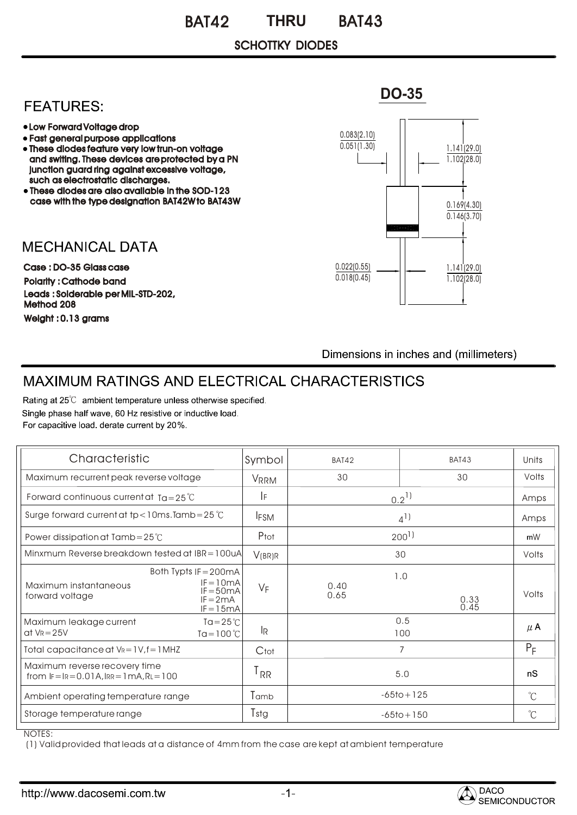#### BAT42 THRU BAT43 **THRU**

### SCHOTTKY DIODES

## **FEATURES:**

- Low Forward Voltage drop
- Fast general purpose applications
- These diodes feature very low trun-on voltage and switing. These devices are protected by a PN junction guard ring against excessive voltage, such as electrostatic discharges.
- These diodes are also available in the SOD-123 case with the type designation BAT42W to BAT43W

**MECHANICAL DATA** 

Case : DO-35 Glass case Polarity : Cathode band Weight : 0.13 grams Leads : Solderable per MIL-STD-202, Method 208



Dimensions in inches and (millimeters)

# MAXIMUM RATINGS AND ELECTRICAL CHARACTERISTICS

Rating at 25°C ambient temperature unless otherwise specified. Single phase half wave, 60 Hz resistive or inductive load. For capacitive load. derate current by 20%.

| Characteristic                                                                                                               | Symbol            | BAT42          | <b>BAT43</b>        | Units                |
|------------------------------------------------------------------------------------------------------------------------------|-------------------|----------------|---------------------|----------------------|
| Maximum recurrent peak reverse voltage                                                                                       | <b>VRRM</b>       | 30             | 30                  | Volts                |
| Forward continuous current at $Ta = 25^{\circ}C$                                                                             | IF.               | $0.2^{11}$     |                     | Amps                 |
| Surge forward current at tp < 10ms. Tamb = $25^{\circ}$ C                                                                    | <b>IFSM</b>       | $4^{1}$        |                     | Amps                 |
| Power dissipation at Tamb=25 $°C$                                                                                            | Ptot              | $200^{1}$      |                     | mW                   |
| Minxmum Reverse breakdown tested at $IBR = 100uA$                                                                            | V(BR)R            | 30             |                     | Volts                |
| Both Typts IF = 200mA<br>$IF = 10mA$<br>Maximum instantaneous<br>$IF = 50mA$<br>forward voltage<br>$IF = 2mA$<br>$IF = 15mA$ | $V_F$             | 0.40<br>0.65   | 1.0<br>0.33<br>0.45 | Volts                |
| $Ta = 25^{\circ}C$<br>Maximum leakage current<br>at $V_R = 25V$<br>$Ta = 100^{\circ}C$                                       | l <sub>R</sub>    | 0.5<br>100     |                     | $\mu$ A              |
| Total capacitance at $V_R = 1V$ , $f = 1MHz$                                                                                 | Ctot              | 7              |                     | $P_F$                |
| Maximum reverse recovery time<br>from $F = IR = 0.01A$ , $RR = 1mA$ , $RL = 100$                                             | $1_{\mathsf{RR}}$ | 5.0            |                     | nS                   |
| Ambient operating temperature range                                                                                          | Tamb              | $-65$ to + 125 |                     | $\mathrm{C}^{\circ}$ |
| Storage temperature range                                                                                                    | Tstg              | $-65$ to + 150 |                     | $^{\circ}C$          |

### NOTES:

(1) Valid provided that leads at a distance of 4mm from the case are kept at ambient temperature



**DO-35**